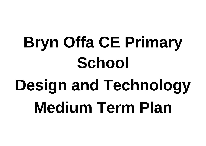# **Bryn Offa CE Primary School Design and Technology Medium Term Plan**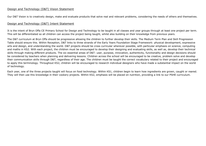# Design and Technology (D&T) Vision Statement

Our D&T Vision is to creatively design, make and evaluate products that solve real and relevant problems, considering the needs of others and themselves.

## Design and Technology (D&T) Intent Statement

It is the intent of Bryn Offa CE Primary School for Design and Technology to be taught in all classes and year groups through at least one project per term. This will be differentiated so all children can access the project being taught, whilst also building on their knowledge from previous years.

The D&T curriculum at Bryn Offa should be progressive allowing the children to further develop their skills. The Medium Term Plan and Skill Progression Table should ensure this. Within Reception, D&T links to three strands of the Early Years Foundation Stage Framework: physical development, expressive arts and design, and understanding the world. D&T projects should be cross curricular wherever possible, with particular emphasis on science, computing and maths in KS2. With each project, the children must be encouraged to develop their designing and evaluating skills, as well as, develop their technical skills through making different products. The six essential areas of D&T: user, purpose, innovation, authenticity, functionality and design decisions should be considered by teachers when planning and delivering lessons. Children across the school will be encouraged to be creative, problem solve and develop their communication skills through D&T, regardless of their age. The children must be taught the correct vocabulary related to their project and encouraged to apply this terminology. Throughout KS2, children will be encouraged to research individual designers who have made a substantial impact on the world of technology.

Each year, one of the three projects taught will focus on food technology. Within KS1, children begin to learn how ingredients are grown, caught or reared. They will then use this knowledge in their cookery projects. Within KS2, emphasis will be placed on nutrition, providing a link to our PSHE curriculum.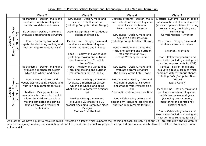# Bryn Offa CE Primary School Design and Technology (D&T) Medium Term Plan

As a school we have bought a resource called 'Projects on a Page' which supports the teaching of each project. All of our D&T projects allow the children to practise designing, making and evaluating different items. A food technology project is completed once a year which allows the children to develop a new culinary skill.

Electrical Systems - Design, make and evaluate and electrical system (more complex switches, including programming, monitoring and controlling)

Garrett Morgan - Inventor

Structures - Design, make and evaluate a frame structure

|  |                          | Class 2                           | Class 3                           | Class 4                            | Class 5                |
|--|--------------------------|-----------------------------------|-----------------------------------|------------------------------------|------------------------|
|  |                          | Mechanisms - Design, make and     | Structures - Design, make and     | Electrical systems - Design, make  | Electrical Systems - I |
|  |                          | evaluate a mechanical system      | evaluate a shell structure        | and evaluate an electrical system  | and evaluate and eled  |
|  |                          | which has sliders and levers      | (including Computer Aided Design) | (circuits and switches)            | (more complex switcl   |
|  | <u>ღ</u>                 |                                   |                                   | Lewis Latimer - Inventor           | programming, mon       |
|  | <b>Rəl</b>               | Structures - Design, make and     | Dyson Design Box - What does a    |                                    | controllin             |
|  | $\widehat{z}$            | evaluate a freestanding structure | design engineer do?               | Structures - Design, make and      | Garrett Morgan -       |
|  | cademic<br>020, 2022     |                                   |                                   | evaluate a shell structure         |                        |
|  | $\frac{\omega}{C}$       | Food - Preparing fruit and        | Mechanisms - Design, make and     | (including Computer Aided Design)  | Structures - Design    |
|  | $\overline{\acute{C}}$   | vegetables (including cooking and | evaluate a mechanical system      |                                    | evaluate a frame       |
|  | $\overline{C}$<br>⋖      | nutrition requirements for KS1)   | which has levers and linkages     | Food - Healthy and varied diet     |                        |
|  |                          |                                   |                                   | (including cooking and nutrition   | Victorian Inve         |
|  | Ever                     |                                   | Food - Healthy and varied diet    | requirements for KS2)              |                        |
|  |                          |                                   | (including cooking and nutrition  | George Washington Carver           | Food - Celebrating     |
|  |                          |                                   | requirements for KS1 and 2)       |                                    | seasonality (including |
|  |                          |                                   | Jamie Oliver                      |                                    | nutrition requiremer   |
|  |                          | Mechanisms - Design, make and     | Food - Healthy and varied diet    | Structures - Design, make and      | Textiles - Design,     |
|  |                          | evaluate a mechanical system      | (including cooking and nutrition  | evaluate a frame structure         | evaluate a textile pr  |
|  |                          | which has wheels and axles        | requirements for KS1 and 2)       | The history of the Eiffel Tower    | combines different fa  |
|  |                          |                                   |                                   |                                    | including CAD (Com     |
|  | <u>ღ</u>                 | Food - Preparing fruit and        | Mechanisms - Design, make and     | Mechanisms - Design, make and      | Design)                |
|  |                          | vegetables (including cooking and | evaluate a mechanical system      | evaluate a pneumatic system        | Laura Ashl             |
|  | $\overline{\phantom{0}}$ | nutrition requirements for KS1)   | which has wheels and axles        | (pneumatics from Projects on a     |                        |
|  | ഥ<br>O                   |                                   | What does an automotive designer  | Page)                              | Mechanisms - Desig     |
|  | Cycle<br>caden<br>019, 2 | Textiles - Design, make and       | do?                               | Pneumatic system uses over time    | evaluate a mechan      |
|  |                          | evaluate a textile product which  |                                   |                                    | which has pulleys      |
|  | 20<br>⋖                  | allows the children to explore    | Textiles - Design, make and       | Food - Celebrating culture and     | (including progra      |
|  | Ddd                      | making templates and joining      | evaluate a 2D shape to a 3D       | seasonality (including cooking and | monitoring and co      |
|  |                          | textiles through a variety of     | product (including Computer Aided | nutrition requirements for KS2)    | History of c           |
|  |                          | techniques                        | Design)                           |                                    |                        |
|  |                          |                                   | Clothes from the Past             |                                    | Food - Celebrating     |
|  |                          |                                   |                                   |                                    | seasonality (including |
|  |                          |                                   |                                   |                                    | nutrition requiremer   |

Victorian Inventions

Food - Celebrating culture and seasonality (including cooking and nutrition requirements for KS2) Textiles - Design, make and evaluate a textile product which combines different fabric shapes, including CAD (Computer Aided Design) Laura Ashley

Mechanisms - Design, make and evaluate a mechanical system which has pulleys and gears (including programming, monitoring and controlling) History of cars

Food - Celebrating culture and seasonality (including cooking and nutrition requirements for KS2)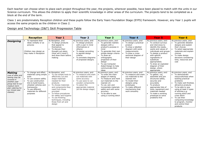Each teacher can choose when to place each project throughout the year, the projects, wherever possible, have been placed to match with the units in our Science curriculum. This allows the children to apply their scientific knowledge in other areas of the curriculum. The projects tend to be completed as a block at the end of the term.

Class 1 are predominately Reception children and these pupils follow the Early Years Foundation Stage (EYFS) framework. However, any Year 1 pupils will access the same projects as the children in Class 2.

## Design and Technology (D&T) Skill Progression Table

|                                                                                                                                                                        | <b>Reception</b>                                                                                                                                                                                                                   | Year 1                                                                                                                                                                                                                                                                                                                               | Year 2                                                                                                                                                                                                                | Year 3                                                                                                                                                                                                                                                                                        | Year 4                                                                                                                                                                                                                     | Year 5                                                                                                                                                                                                                                                                                                           | Year 6                                                                                                                                                                                                                                                                                                                                                                    |
|------------------------------------------------------------------------------------------------------------------------------------------------------------------------|------------------------------------------------------------------------------------------------------------------------------------------------------------------------------------------------------------------------------------|--------------------------------------------------------------------------------------------------------------------------------------------------------------------------------------------------------------------------------------------------------------------------------------------------------------------------------------|-----------------------------------------------------------------------------------------------------------------------------------------------------------------------------------------------------------------------|-----------------------------------------------------------------------------------------------------------------------------------------------------------------------------------------------------------------------------------------------------------------------------------------------|----------------------------------------------------------------------------------------------------------------------------------------------------------------------------------------------------------------------------|------------------------------------------------------------------------------------------------------------------------------------------------------------------------------------------------------------------------------------------------------------------------------------------------------------------|---------------------------------------------------------------------------------------------------------------------------------------------------------------------------------------------------------------------------------------------------------------------------------------------------------------------------------------------------------------------------|
| <b>Designing</b>                                                                                                                                                       | To represent their<br>ideas verbally or as<br>pictures<br>Children may design as<br>they make in Reception                                                                                                                         | As Reception, and:<br>• To design products<br>that appeal to<br>themselves<br>To discuss their<br>thought-out plans<br>(How will it work?)<br>and draw them before<br>making                                                                                                                                                         | As previous years, and:<br>To design products<br>with a user in mind<br>(themselves or<br>others)<br>To design according<br>to agreed design<br>criteria<br>To annotate diagrams<br>$\bullet$<br>of proposed designs. | As previous years, and:<br>To generate realistic<br>designs with a<br>product's purpose in<br>mind<br>To generate their own<br>simple design criteria<br>To draw an<br>orthographic<br>projection of their<br>design<br>To use Computer<br>Aided Design to help<br>communicate their<br>ideas | As previous years, and:<br>To design a practical<br>product<br>To draw a labelled<br>$\bullet$<br>diagram with some<br>measurements<br>To draw a cross-<br>$\bullet$<br>sectional diagram of<br>their design               | As previous years, and:<br>• To conduct surveys<br>and interviews to<br>identify the needs,<br>wants and values of<br>individuals and groups<br>To design a product<br>with specific<br>ingredients or<br>substitute<br>appropriately<br>To draw an exploded<br>diagram of their<br>design, where<br>appropriate | As previous years, and:<br>To generate detailed<br>designs and explain<br>their choices<br>To select appropriate<br>materials and explain<br>choices<br>To make design<br>decisions considering<br>time, resources and<br>cost                                                                                                                                            |
| <b>Making</b><br>(use of saws and<br>sewing may be<br>covered in<br>another year<br>group due to our<br>medium term<br>plan catering for<br>our mixed year<br>classes) | To change and effect<br>materials using simple<br>tools<br>To use scissors safely<br>To use construction<br>kits to build towers,<br>wheeled vehicles and<br>frameworks<br>To use different<br>materials for different<br>purposes | As Reception, and:<br>To use simple tools to<br>effectively cut and<br>shape materials<br>needed for their<br>products<br>• To choose materials<br>and components they<br>need from those<br>provided<br>To follow procedures<br>for safety and hygiene<br>To use finishing<br>techniques, including<br>those from art and<br>design | As previous years, and:<br>To measure and mark<br>out materials with<br>some accuracy<br>To use saws to cut<br>wooden components<br>To select the<br>appropriate material<br>(at the design stage)                    | As previous years, and:<br>To order the main<br>stages of making<br>To measure and mark<br>out materials to the<br>nearest cm<br>To cut, join and<br>incorporate materials<br>safely and with some<br>accuracy<br>To be able to sew<br>using a running stitch                                 | As previous years, and:<br>• To measure and mark<br>out materials to the<br>nearest mm<br>To model their<br>$\bullet$<br>designs using<br>prototypes<br>To make different<br>$\bullet$<br>mechanisms that<br>work smoothly | As previous years, and:<br>To gather, cut,<br>assemble and join<br>structures safely,<br>securely and<br>accurately<br>To produce<br>appropriate lists of<br>tools, equipment and<br>materials needed<br>To make a working<br>prototype to solve<br>problems first                                               | As previous years, and:<br>To demonstrate<br>$\bullet$<br>resourcefulness when<br>tackling practical<br>problems<br>To make well finished,<br>attractive products<br>To be able to sew<br>using at least 2 types<br>of stitches e.g.<br>running stitch and<br>cross stitch<br>To use their<br>computing knowledge<br>to program, monitor<br>and control their<br>products |